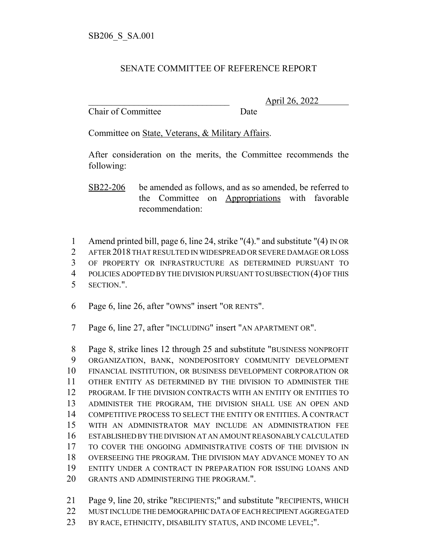## SENATE COMMITTEE OF REFERENCE REPORT

Chair of Committee Date

\_\_\_\_\_\_\_\_\_\_\_\_\_\_\_\_\_\_\_\_\_\_\_\_\_\_\_\_\_\_\_ April 26, 2022

Committee on State, Veterans, & Military Affairs.

After consideration on the merits, the Committee recommends the following:

SB22-206 be amended as follows, and as so amended, be referred to the Committee on Appropriations with favorable recommendation:

 Amend printed bill, page 6, line 24, strike "(4)." and substitute "(4) IN OR AFTER 2018 THAT RESULTED IN WIDESPREAD OR SEVERE DAMAGE OR LOSS OF PROPERTY OR INFRASTRUCTURE AS DETERMINED PURSUANT TO POLICIES ADOPTED BY THE DIVISION PURSUANT TO SUBSECTION (4) OF THIS SECTION.".

Page 6, line 26, after "OWNS" insert "OR RENTS".

Page 6, line 27, after "INCLUDING" insert "AN APARTMENT OR".

 Page 8, strike lines 12 through 25 and substitute "BUSINESS NONPROFIT ORGANIZATION, BANK, NONDEPOSITORY COMMUNITY DEVELOPMENT FINANCIAL INSTITUTION, OR BUSINESS DEVELOPMENT CORPORATION OR OTHER ENTITY AS DETERMINED BY THE DIVISION TO ADMINISTER THE PROGRAM. IF THE DIVISION CONTRACTS WITH AN ENTITY OR ENTITIES TO ADMINISTER THE PROGRAM, THE DIVISION SHALL USE AN OPEN AND COMPETITIVE PROCESS TO SELECT THE ENTITY OR ENTITIES. A CONTRACT WITH AN ADMINISTRATOR MAY INCLUDE AN ADMINISTRATION FEE ESTABLISHED BY THE DIVISION AT AN AMOUNT REASONABLY CALCULATED TO COVER THE ONGOING ADMINISTRATIVE COSTS OF THE DIVISION IN OVERSEEING THE PROGRAM. THE DIVISION MAY ADVANCE MONEY TO AN ENTITY UNDER A CONTRACT IN PREPARATION FOR ISSUING LOANS AND GRANTS AND ADMINISTERING THE PROGRAM.".

 Page 9, line 20, strike "RECIPIENTS;" and substitute "RECIPIENTS, WHICH MUST INCLUDE THE DEMOGRAPHIC DATA OF EACH RECIPIENT AGGREGATED 23 BY RACE, ETHNICITY, DISABILITY STATUS, AND INCOME LEVEL;".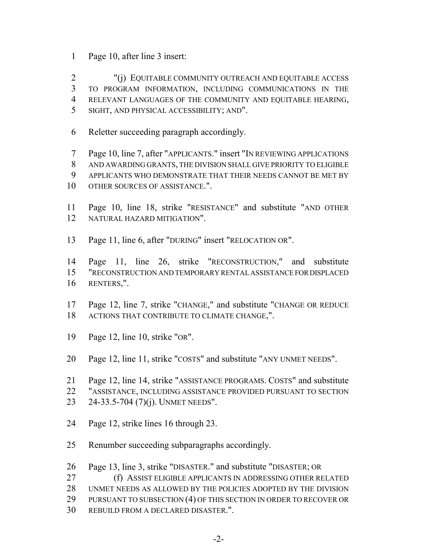- Page 10, after line 3 insert:
- "(j) EQUITABLE COMMUNITY OUTREACH AND EQUITABLE ACCESS TO PROGRAM INFORMATION, INCLUDING COMMUNICATIONS IN THE RELEVANT LANGUAGES OF THE COMMUNITY AND EQUITABLE HEARING, SIGHT, AND PHYSICAL ACCESSIBILITY; AND".
- Reletter succeeding paragraph accordingly.
- Page 10, line 7, after "APPLICANTS." insert "IN REVIEWING APPLICATIONS AND AWARDING GRANTS, THE DIVISION SHALL GIVE PRIORITY TO ELIGIBLE APPLICANTS WHO DEMONSTRATE THAT THEIR NEEDS CANNOT BE MET BY OTHER SOURCES OF ASSISTANCE.".
- Page 10, line 18, strike "RESISTANCE" and substitute "AND OTHER NATURAL HAZARD MITIGATION".
- Page 11, line 6, after "DURING" insert "RELOCATION OR".

 Page 11, line 26, strike "RECONSTRUCTION," and substitute "RECONSTRUCTION AND TEMPORARY RENTAL ASSISTANCE FOR DISPLACED RENTERS,".

- Page 12, line 7, strike "CHANGE," and substitute "CHANGE OR REDUCE ACTIONS THAT CONTRIBUTE TO CLIMATE CHANGE,".
- Page 12, line 10, strike "OR".
- Page 12, line 11, strike "COSTS" and substitute "ANY UNMET NEEDS".
- Page 12, line 14, strike "ASSISTANCE PROGRAMS. COSTS" and substitute
- "ASSISTANCE, INCLUDING ASSISTANCE PROVIDED PURSUANT TO SECTION
- 24-33.5-704 (7)(j). UNMET NEEDS".
- Page 12, strike lines 16 through 23.
- Renumber succeeding subparagraphs accordingly.
- Page 13, line 3, strike "DISASTER." and substitute "DISASTER; OR
- (f) ASSIST ELIGIBLE APPLICANTS IN ADDRESSING OTHER RELATED
- UNMET NEEDS AS ALLOWED BY THE POLICIES ADOPTED BY THE DIVISION
- 29 PURSUANT TO SUBSECTION (4) OF THIS SECTION IN ORDER TO RECOVER OR
- REBUILD FROM A DECLARED DISASTER.".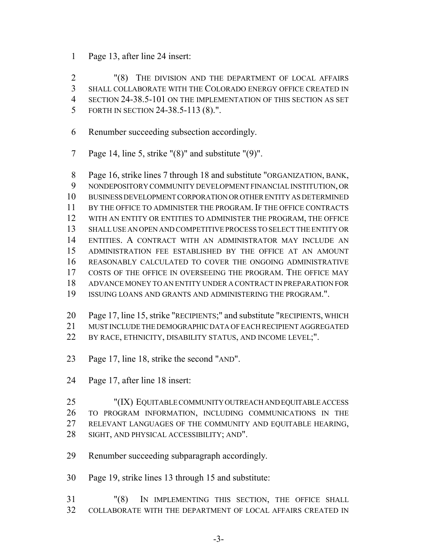Page 13, after line 24 insert:

 "(8) THE DIVISION AND THE DEPARTMENT OF LOCAL AFFAIRS SHALL COLLABORATE WITH THE COLORADO ENERGY OFFICE CREATED IN SECTION 24-38.5-101 ON THE IMPLEMENTATION OF THIS SECTION AS SET FORTH IN SECTION 24-38.5-113 (8).".

- Renumber succeeding subsection accordingly.
- Page 14, line 5, strike "(8)" and substitute "(9)".

 Page 16, strike lines 7 through 18 and substitute "ORGANIZATION, BANK, NONDEPOSITORY COMMUNITY DEVELOPMENT FINANCIAL INSTITUTION, OR BUSINESS DEVELOPMENT CORPORATION OR OTHER ENTITY AS DETERMINED BY THE OFFICE TO ADMINISTER THE PROGRAM. IF THE OFFICE CONTRACTS WITH AN ENTITY OR ENTITIES TO ADMINISTER THE PROGRAM, THE OFFICE SHALL USE AN OPEN AND COMPETITIVE PROCESS TO SELECT THE ENTITY OR ENTITIES. A CONTRACT WITH AN ADMINISTRATOR MAY INCLUDE AN ADMINISTRATION FEE ESTABLISHED BY THE OFFICE AT AN AMOUNT REASONABLY CALCULATED TO COVER THE ONGOING ADMINISTRATIVE COSTS OF THE OFFICE IN OVERSEEING THE PROGRAM. THE OFFICE MAY ADVANCE MONEY TO AN ENTITY UNDER A CONTRACT IN PREPARATION FOR ISSUING LOANS AND GRANTS AND ADMINISTERING THE PROGRAM.".

- Page 17, line 15, strike "RECIPIENTS;" and substitute "RECIPIENTS, WHICH
- MUST INCLUDE THE DEMOGRAPHIC DATA OF EACH RECIPIENT AGGREGATED
- 22 BY RACE, ETHNICITY, DISABILITY STATUS, AND INCOME LEVEL;".
- Page 17, line 18, strike the second "AND".
- Page 17, after line 18 insert:
- "(IX) EQUITABLE COMMUNITY OUTREACH AND EQUITABLE ACCESS TO PROGRAM INFORMATION, INCLUDING COMMUNICATIONS IN THE RELEVANT LANGUAGES OF THE COMMUNITY AND EQUITABLE HEARING, SIGHT, AND PHYSICAL ACCESSIBILITY; AND".
- Renumber succeeding subparagraph accordingly.
- Page 19, strike lines 13 through 15 and substitute:
- "(8) IN IMPLEMENTING THIS SECTION, THE OFFICE SHALL COLLABORATE WITH THE DEPARTMENT OF LOCAL AFFAIRS CREATED IN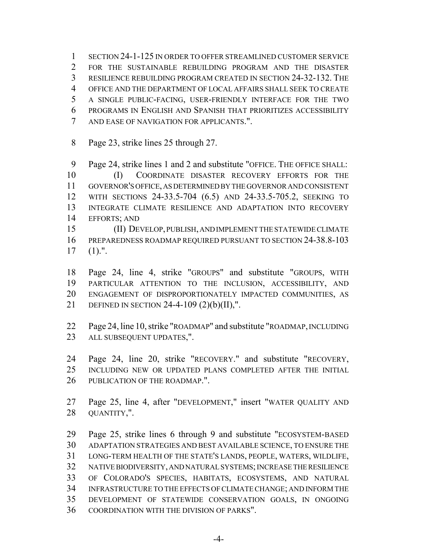SECTION 24-1-125 IN ORDER TO OFFER STREAMLINED CUSTOMER SERVICE FOR THE SUSTAINABLE REBUILDING PROGRAM AND THE DISASTER RESILIENCE REBUILDING PROGRAM CREATED IN SECTION 24-32-132. THE OFFICE AND THE DEPARTMENT OF LOCAL AFFAIRS SHALL SEEK TO CREATE A SINGLE PUBLIC-FACING, USER-FRIENDLY INTERFACE FOR THE TWO PROGRAMS IN ENGLISH AND SPANISH THAT PRIORITIZES ACCESSIBILITY AND EASE OF NAVIGATION FOR APPLICANTS.".

Page 23, strike lines 25 through 27.

 Page 24, strike lines 1 and 2 and substitute "OFFICE. THE OFFICE SHALL: (I) COORDINATE DISASTER RECOVERY EFFORTS FOR THE GOVERNOR'S OFFICE, AS DETERMINED BY THE GOVERNOR AND CONSISTENT WITH SECTIONS 24-33.5-704 (6.5) AND 24-33.5-705.2, SEEKING TO INTEGRATE CLIMATE RESILIENCE AND ADAPTATION INTO RECOVERY EFFORTS; AND

 (II) DEVELOP, PUBLISH, AND IMPLEMENT THE STATEWIDE CLIMATE PREPAREDNESS ROADMAP REQUIRED PURSUANT TO SECTION 24-38.8-103 (1).".

 Page 24, line 4, strike "GROUPS" and substitute "GROUPS, WITH PARTICULAR ATTENTION TO THE INCLUSION, ACCESSIBILITY, AND ENGAGEMENT OF DISPROPORTIONATELY IMPACTED COMMUNITIES, AS DEFINED IN SECTION 24-4-109 (2)(b)(II),".

- Page 24, line 10, strike "ROADMAP" and substitute "ROADMAP, INCLUDING ALL SUBSEQUENT UPDATES,".
- Page 24, line 20, strike "RECOVERY." and substitute "RECOVERY, INCLUDING NEW OR UPDATED PLANS COMPLETED AFTER THE INITIAL 26 PUBLICATION OF THE ROADMAP.".
- Page 25, line 4, after "DEVELOPMENT," insert "WATER QUALITY AND QUANTITY,".

 Page 25, strike lines 6 through 9 and substitute "ECOSYSTEM-BASED ADAPTATION STRATEGIES AND BEST AVAILABLE SCIENCE, TO ENSURE THE LONG-TERM HEALTH OF THE STATE'S LANDS, PEOPLE, WATERS, WILDLIFE, NATIVE BIODIVERSITY, AND NATURAL SYSTEMS; INCREASE THE RESILIENCE OF COLORADO'S SPECIES, HABITATS, ECOSYSTEMS, AND NATURAL INFRASTRUCTURE TO THE EFFECTS OF CLIMATE CHANGE; AND INFORM THE DEVELOPMENT OF STATEWIDE CONSERVATION GOALS, IN ONGOING COORDINATION WITH THE DIVISION OF PARKS".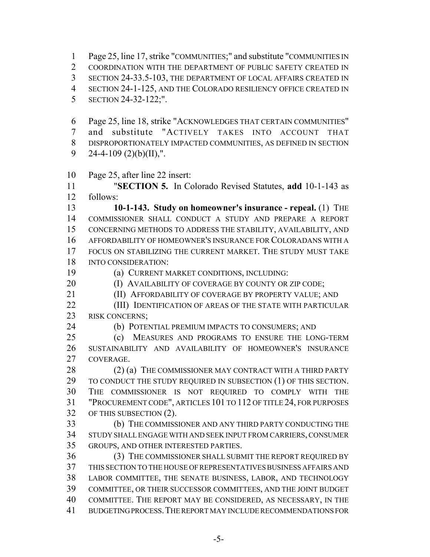Page 25, line 17, strike "COMMUNITIES;" and substitute "COMMUNITIES IN

COORDINATION WITH THE DEPARTMENT OF PUBLIC SAFETY CREATED IN

SECTION 24-33.5-103, THE DEPARTMENT OF LOCAL AFFAIRS CREATED IN

- SECTION 24-1-125, AND THE COLORADO RESILIENCY OFFICE CREATED IN
- SECTION 24-32-122;".

 Page 25, line 18, strike "ACKNOWLEDGES THAT CERTAIN COMMUNITIES" and substitute "ACTIVELY TAKES INTO ACCOUNT THAT DISPROPORTIONATELY IMPACTED COMMUNITIES, AS DEFINED IN SECTION 9 24-4-109  $(2)(b)(II)$ ,".

Page 25, after line 22 insert:

 "**SECTION 5.** In Colorado Revised Statutes, **add** 10-1-143 as follows:

 **10-1-143. Study on homeowner's insurance - repeal.** (1) THE COMMISSIONER SHALL CONDUCT A STUDY AND PREPARE A REPORT CONCERNING METHODS TO ADDRESS THE STABILITY, AVAILABILITY, AND AFFORDABILITY OF HOMEOWNER'S INSURANCE FOR COLORADANS WITH A FOCUS ON STABILIZING THE CURRENT MARKET. THE STUDY MUST TAKE INTO CONSIDERATION:

(a) CURRENT MARKET CONDITIONS, INCLUDING:

**(I) AVAILABILITY OF COVERAGE BY COUNTY OR ZIP CODE;** 

21 (II) AFFORDABILITY OF COVERAGE BY PROPERTY VALUE; AND

- **(III) IDENTIFICATION OF AREAS OF THE STATE WITH PARTICULAR** 23 RISK CONCERNS;
- 

(b) POTENTIAL PREMIUM IMPACTS TO CONSUMERS; AND

 (c) MEASURES AND PROGRAMS TO ENSURE THE LONG-TERM SUSTAINABILITY AND AVAILABILITY OF HOMEOWNER'S INSURANCE COVERAGE.

28 (2) (a) THE COMMISSIONER MAY CONTRACT WITH A THIRD PARTY 29 TO CONDUCT THE STUDY REQUIRED IN SUBSECTION (1) OF THIS SECTION. THE COMMISSIONER IS NOT REQUIRED TO COMPLY WITH THE "PROCUREMENT CODE", ARTICLES 101 TO 112 OF TITLE 24, FOR PURPOSES OF THIS SUBSECTION (2).

 (b) THE COMMISSIONER AND ANY THIRD PARTY CONDUCTING THE STUDY SHALL ENGAGE WITH AND SEEK INPUT FROM CARRIERS, CONSUMER GROUPS, AND OTHER INTERESTED PARTIES.

 (3) THE COMMISSIONER SHALL SUBMIT THE REPORT REQUIRED BY THIS SECTION TO THE HOUSE OF REPRESENTATIVES BUSINESS AFFAIRS AND LABOR COMMITTEE, THE SENATE BUSINESS, LABOR, AND TECHNOLOGY COMMITTEE, OR THEIR SUCCESSOR COMMITTEES, AND THE JOINT BUDGET COMMITTEE. THE REPORT MAY BE CONSIDERED, AS NECESSARY, IN THE BUDGETING PROCESS.THE REPORT MAY INCLUDE RECOMMENDATIONS FOR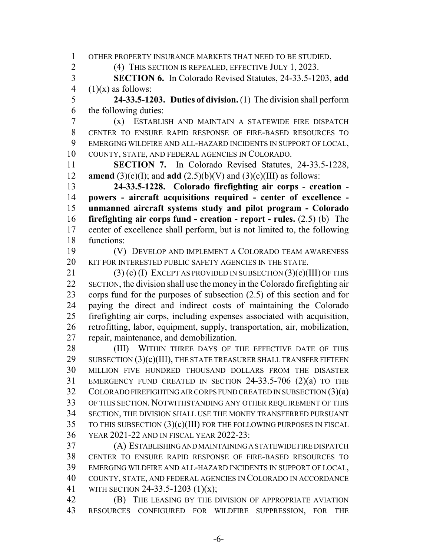OTHER PROPERTY INSURANCE MARKETS THAT NEED TO BE STUDIED.

(4) THIS SECTION IS REPEALED, EFFECTIVE JULY 1, 2023.

 **SECTION 6.** In Colorado Revised Statutes, 24-33.5-1203, **add** 4  $(1)(x)$  as follows:

 **24-33.5-1203. Duties of division.** (1) The division shall perform the following duties:

 (x) ESTABLISH AND MAINTAIN A STATEWIDE FIRE DISPATCH CENTER TO ENSURE RAPID RESPONSE OF FIRE-BASED RESOURCES TO EMERGING WILDFIRE AND ALL-HAZARD INCIDENTS IN SUPPORT OF LOCAL, COUNTY, STATE, AND FEDERAL AGENCIES IN COLORADO.

 **SECTION 7.** In Colorado Revised Statutes, 24-33.5-1228, **amend** (3)(c)(I); and **add** (2.5)(b)(V) and (3)(c)(III) as follows:

 **24-33.5-1228. Colorado firefighting air corps - creation - powers - aircraft acquisitions required - center of excellence - unmanned aircraft systems study and pilot program - Colorado firefighting air corps fund - creation - report - rules.** (2.5) (b) The center of excellence shall perform, but is not limited to, the following functions:

 (V) DEVELOP AND IMPLEMENT A COLORADO TEAM AWARENESS KIT FOR INTERESTED PUBLIC SAFETY AGENCIES IN THE STATE.

21 (3) (c) (I) EXCEPT AS PROVIDED IN SUBSECTION (3)(c)(III) OF THIS SECTION, the division shall use the money in the Colorado firefighting air corps fund for the purposes of subsection (2.5) of this section and for paying the direct and indirect costs of maintaining the Colorado firefighting air corps, including expenses associated with acquisition, retrofitting, labor, equipment, supply, transportation, air, mobilization, repair, maintenance, and demobilization.

28 (III) WITHIN THREE DAYS OF THE EFFECTIVE DATE OF THIS 29 SUBSECTION  $(3)(c)(III)$ , THE STATE TREASURER SHALL TRANSFER FIFTEEN MILLION FIVE HUNDRED THOUSAND DOLLARS FROM THE DISASTER EMERGENCY FUND CREATED IN SECTION 24-33.5-706 (2)(a) TO THE COLORADO FIREFIGHTING AIR CORPS FUND CREATED IN SUBSECTION (3)(a) OF THIS SECTION. NOTWITHSTANDING ANY OTHER REQUIREMENT OF THIS SECTION, THE DIVISION SHALL USE THE MONEY TRANSFERRED PURSUANT TO THIS SUBSECTION (3)(c)(III) FOR THE FOLLOWING PURPOSES IN FISCAL YEAR 2021-22 AND IN FISCAL YEAR 2022-23:

 (A) ESTABLISHING AND MAINTAINING A STATEWIDE FIRE DISPATCH CENTER TO ENSURE RAPID RESPONSE OF FIRE-BASED RESOURCES TO EMERGING WILDFIRE AND ALL-HAZARD INCIDENTS IN SUPPORT OF LOCAL, COUNTY, STATE, AND FEDERAL AGENCIES IN COLORADO IN ACCORDANCE WITH SECTION 24-33.5-1203 (1)(x);

 (B) THE LEASING BY THE DIVISION OF APPROPRIATE AVIATION RESOURCES CONFIGURED FOR WILDFIRE SUPPRESSION, FOR THE